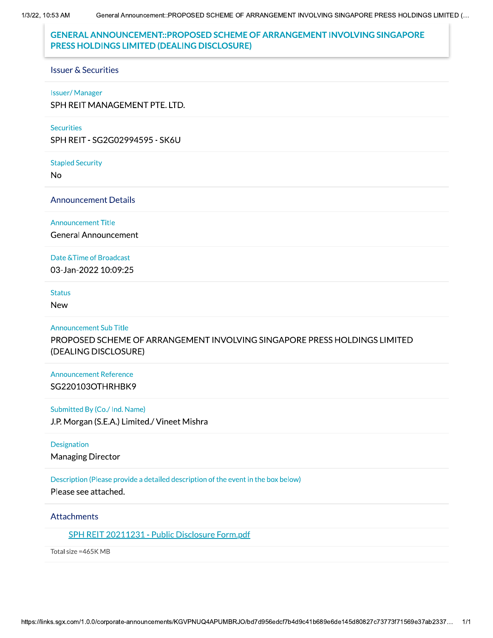1/3/22, 10:53 AM

# **GENERAL ANNOUNCEMENT::PROPOSED SCHEME OF ARRANGEMENT INVOLVING SINGAPORE** PRESS HOLDINGS LIMITED (DEALING DISCLOSURE)

#### **Issuer & Securities**

#### **Issuer/Manager**

SPH REIT MANAGEMENT PTE. LTD.

#### **Securities**

SPH REIT - SG2G02994595 - SK6U

**Stapled Security** 

**No** 

**Announcement Details** 

#### **Announcement Title**

**General Announcement** 

## Date & Time of Broadcast

03-Jan-2022 10:09:25

### **Status**

**New** 

## **Announcement Sub Title**

PROPOSED SCHEME OF ARRANGEMENT INVOLVING SINGAPORE PRESS HOLDINGS LIMITED (DEALING DISCLOSURE)

# **Announcement Reference** SG220103OTHRHBK9

## Submitted By (Co./ Ind. Name)

J.P. Morgan (S.E.A.) Limited./ Vineet Mishra

### Designation

**Managing Director** 

# Description (Please provide a detailed description of the event in the box below)

Please see attached.

## **Attachments**

SPH REIT 20211231 - Public Disclosure Form.pdf

Total size = 465K MB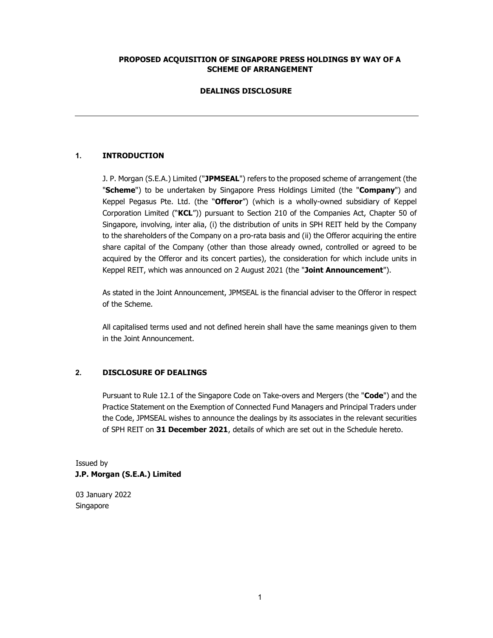# PROPOSED ACQUISITION OF SINGAPORE PRESS HOLDINGS BY WAY OF A SCHEME OF ARRANGEMENT

## DEALINGS DISCLOSURE

# 1. INTRODUCTION

J. P. Morgan (S.E.A.) Limited ("JPMSEAL") refers to the proposed scheme of arrangement (the "Scheme") to be undertaken by Singapore Press Holdings Limited (the "Company") and Keppel Pegasus Pte. Ltd. (the "Offeror") (which is a wholly-owned subsidiary of Keppel Corporation Limited ("KCL")) pursuant to Section 210 of the Companies Act, Chapter 50 of Singapore, involving, inter alia, (i) the distribution of units in SPH REIT held by the Company to the shareholders of the Company on a pro-rata basis and (ii) the Offeror acquiring the entire share capital of the Company (other than those already owned, controlled or agreed to be acquired by the Offeror and its concert parties), the consideration for which include units in Keppel REIT, which was announced on 2 August 2021 (the "Joint Announcement").

As stated in the Joint Announcement, JPMSEAL is the financial adviser to the Offeror in respect of the Scheme.

All capitalised terms used and not defined herein shall have the same meanings given to them in the Joint Announcement.

# 2. DISCLOSURE OF DEALINGS

Pursuant to Rule 12.1 of the Singapore Code on Take-overs and Mergers (the "Code") and the Practice Statement on the Exemption of Connected Fund Managers and Principal Traders under the Code, JPMSEAL wishes to announce the dealings by its associates in the relevant securities of SPH REIT on 31 December 2021, details of which are set out in the Schedule hereto.

Issued by J.P. Morgan (S.E.A.) Limited

03 January 2022 Singapore